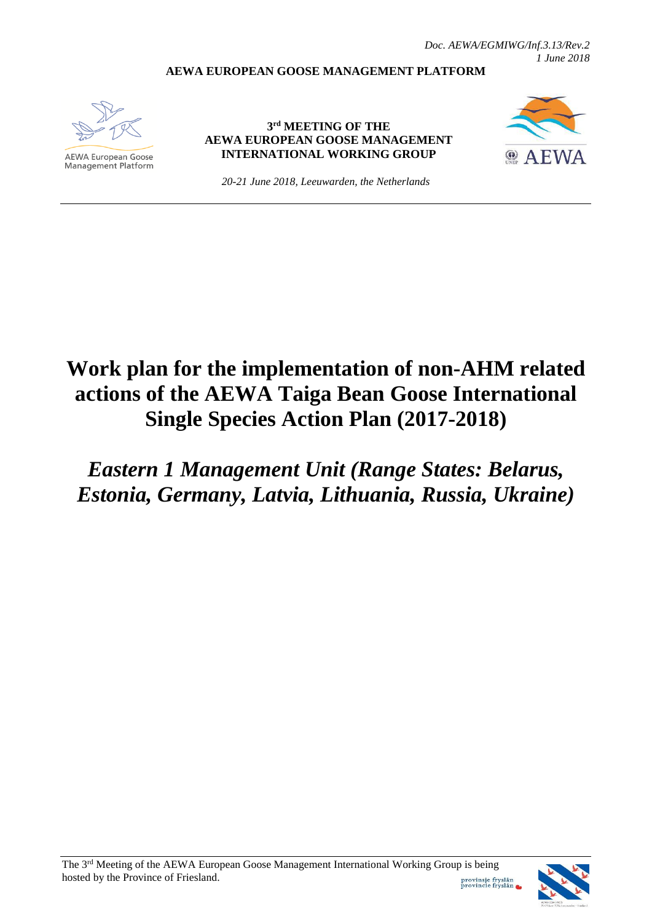*Doc. AEWA/EGMIWG/Inf.3.13/Rev.2 1 June 2018*

## **AEWA EUROPEAN GOOSE MANAGEMENT PLATFORM**



**AEWA European Goose** Management Platform

## **3 rd MEETING OF THE AEWA EUROPEAN GOOSE MANAGEMENT INTERNATIONAL WORKING GROUP**



*20-21 June 2018, Leeuwarden, the Netherlands*

## **Work plan for the implementation of non-AHM related actions of the AEWA Taiga Bean Goose International Single Species Action Plan (2017-2018)**

*Eastern 1 Management Unit (Range States: Belarus, Estonia, Germany, Latvia, Lithuania, Russia, Ukraine)*

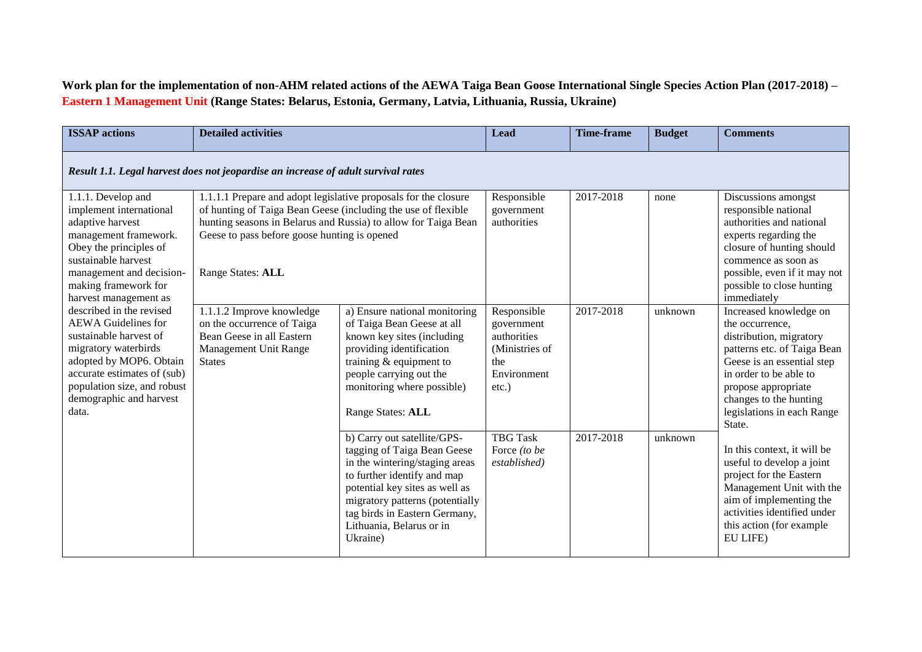## **Work plan for the implementation of non-AHM related actions of the AEWA Taiga Bean Goose International Single Species Action Plan (2017-2018) – Eastern 1 Management Unit (Range States: Belarus, Estonia, Germany, Latvia, Lithuania, Russia, Ukraine)**

| <b>ISSAP</b> actions                                                                                                                                                                                                                                 | <b>Detailed activities</b>                                                                                                                                                                                                         |                                                                                                                                                                                                                                                                           | <b>Lead</b>                                                                   | Time-frame             | <b>Budget</b>   | <b>Comments</b>                                                                                                                                                                                                                                            |  |
|------------------------------------------------------------------------------------------------------------------------------------------------------------------------------------------------------------------------------------------------------|------------------------------------------------------------------------------------------------------------------------------------------------------------------------------------------------------------------------------------|---------------------------------------------------------------------------------------------------------------------------------------------------------------------------------------------------------------------------------------------------------------------------|-------------------------------------------------------------------------------|------------------------|-----------------|------------------------------------------------------------------------------------------------------------------------------------------------------------------------------------------------------------------------------------------------------------|--|
| Result 1.1. Legal harvest does not jeopardise an increase of adult survival rates                                                                                                                                                                    |                                                                                                                                                                                                                                    |                                                                                                                                                                                                                                                                           |                                                                               |                        |                 |                                                                                                                                                                                                                                                            |  |
| 1.1.1. Develop and<br>implement international<br>adaptive harvest<br>management framework.<br>Obey the principles of<br>sustainable harvest<br>management and decision-<br>making framework for<br>harvest management as<br>described in the revised | 1.1.1.1 Prepare and adopt legislative proposals for the closure<br>of hunting of Taiga Bean Geese (including the use of flexible<br>Geese to pass before goose hunting is opened<br>Range States: ALL<br>1.1.1.2 Improve knowledge | hunting seasons in Belarus and Russia) to allow for Taiga Bean<br>a) Ensure national monitoring                                                                                                                                                                           | Responsible<br>government<br>authorities<br>Responsible                       | 2017-2018<br>2017-2018 | none<br>unknown | Discussions amongst<br>responsible national<br>authorities and national<br>experts regarding the<br>closure of hunting should<br>commence as soon as<br>possible, even if it may not<br>possible to close hunting<br>immediately<br>Increased knowledge on |  |
| <b>AEWA</b> Guidelines for<br>sustainable harvest of<br>migratory waterbirds<br>adopted by MOP6. Obtain<br>accurate estimates of (sub)<br>population size, and robust<br>demographic and harvest<br>data.                                            | on the occurrence of Taiga<br>Bean Geese in all Eastern<br>Management Unit Range<br><b>States</b>                                                                                                                                  | of Taiga Bean Geese at all<br>known key sites (including<br>providing identification<br>training $&$ equipment to<br>people carrying out the<br>monitoring where possible)<br>Range States: ALL                                                                           | government<br>authorities<br>(Ministries of<br>the<br>Environment<br>$etc.$ ) |                        |                 | the occurrence,<br>distribution, migratory<br>patterns etc. of Taiga Bean<br>Geese is an essential step<br>in order to be able to<br>propose appropriate<br>changes to the hunting<br>legislations in each Range<br>State.                                 |  |
|                                                                                                                                                                                                                                                      |                                                                                                                                                                                                                                    | b) Carry out satellite/GPS-<br>tagging of Taiga Bean Geese<br>in the wintering/staging areas<br>to further identify and map<br>potential key sites as well as<br>migratory patterns (potentially<br>tag birds in Eastern Germany,<br>Lithuania, Belarus or in<br>Ukraine) | <b>TBG Task</b><br>Force (to be<br>established)                               | 2017-2018              | unknown         | In this context, it will be<br>useful to develop a joint<br>project for the Eastern<br>Management Unit with the<br>aim of implementing the<br>activities identified under<br>this action (for example<br>EU LIFE)                                          |  |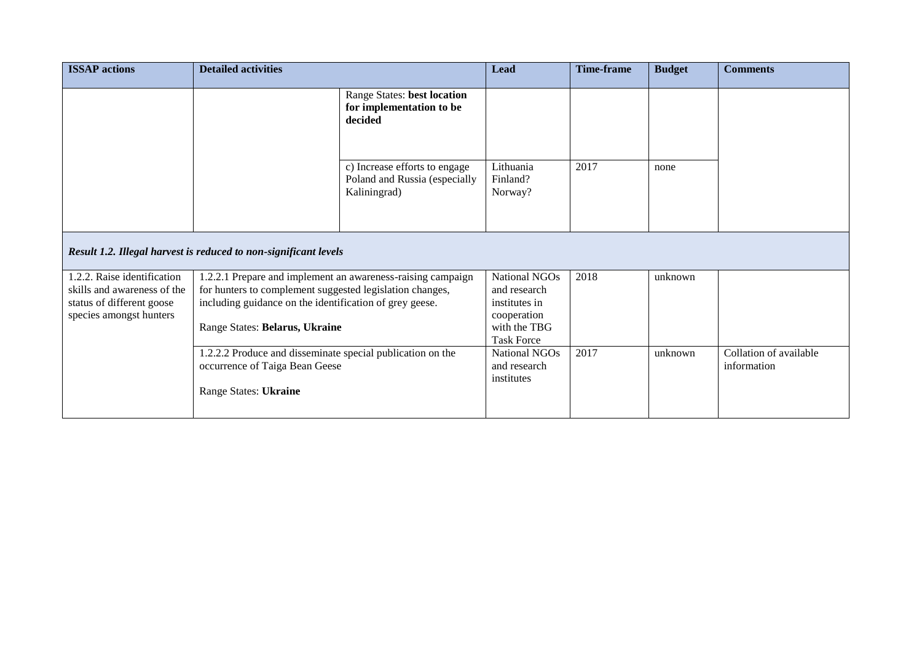| <b>ISSAP</b> actions                                                                                               | <b>Detailed activities</b>                                                                                                                                                                                                                                                                                                                    |                                                                                | <b>Lead</b>                                                                                               | <b>Time-frame</b> | <b>Budget</b> | <b>Comments</b>                       |
|--------------------------------------------------------------------------------------------------------------------|-----------------------------------------------------------------------------------------------------------------------------------------------------------------------------------------------------------------------------------------------------------------------------------------------------------------------------------------------|--------------------------------------------------------------------------------|-----------------------------------------------------------------------------------------------------------|-------------------|---------------|---------------------------------------|
|                                                                                                                    |                                                                                                                                                                                                                                                                                                                                               | Range States: best location<br>for implementation to be<br>decided             |                                                                                                           |                   |               |                                       |
|                                                                                                                    |                                                                                                                                                                                                                                                                                                                                               | c) Increase efforts to engage<br>Poland and Russia (especially<br>Kaliningrad) | Lithuania<br>Finland?<br>Norway?                                                                          | 2017              | none          |                                       |
| Result 1.2. Illegal harvest is reduced to non-significant levels                                                   |                                                                                                                                                                                                                                                                                                                                               |                                                                                |                                                                                                           |                   |               |                                       |
| 1.2.2. Raise identification<br>skills and awareness of the<br>status of different goose<br>species amongst hunters | 1.2.2.1 Prepare and implement an awareness-raising campaign<br>for hunters to complement suggested legislation changes,<br>including guidance on the identification of grey geese.<br>Range States: Belarus, Ukraine<br>1.2.2.2 Produce and disseminate special publication on the<br>occurrence of Taiga Bean Geese<br>Range States: Ukraine |                                                                                | <b>National NGOs</b><br>and research<br>institutes in<br>cooperation<br>with the TBG<br><b>Task Force</b> | 2018              | unknown       |                                       |
|                                                                                                                    |                                                                                                                                                                                                                                                                                                                                               |                                                                                | National NGOs<br>and research<br>institutes                                                               | 2017              | unknown       | Collation of available<br>information |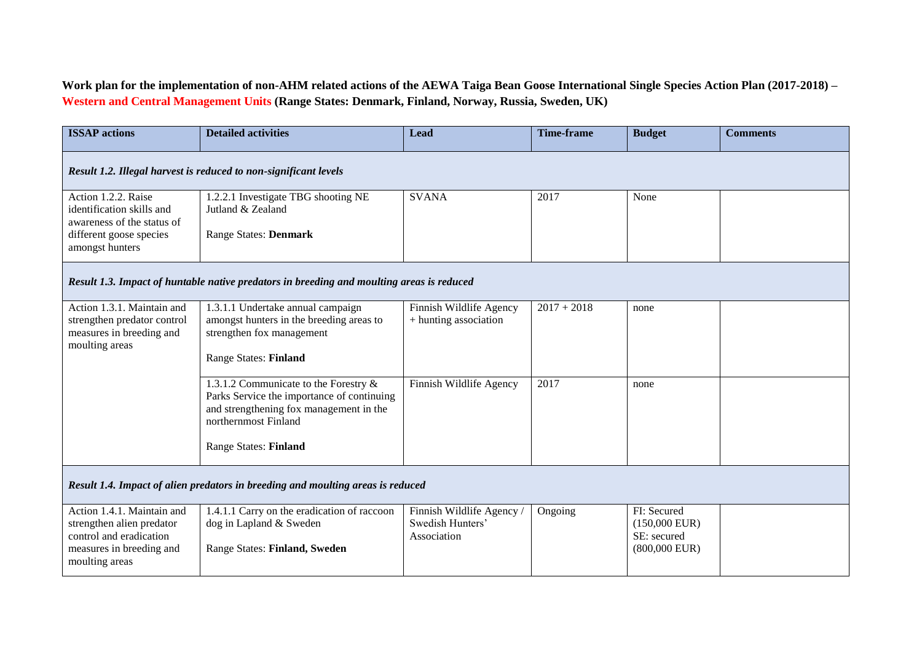**Work plan for the implementation of non-AHM related actions of the AEWA Taiga Bean Goose International Single Species Action Plan (2017-2018) – Western and Central Management Units (Range States: Denmark, Finland, Norway, Russia, Sweden, UK)**

| <b>ISSAP</b> actions                                                                                                             | <b>Detailed activities</b>                                                                                                                                                             | Lead                                                         | <b>Time-frame</b> | <b>Budget</b>                                                    | <b>Comments</b> |  |  |
|----------------------------------------------------------------------------------------------------------------------------------|----------------------------------------------------------------------------------------------------------------------------------------------------------------------------------------|--------------------------------------------------------------|-------------------|------------------------------------------------------------------|-----------------|--|--|
| Result 1.2. Illegal harvest is reduced to non-significant levels                                                                 |                                                                                                                                                                                        |                                                              |                   |                                                                  |                 |  |  |
| Action 1.2.2. Raise<br>identification skills and<br>awareness of the status of<br>different goose species<br>amongst hunters     | 1.2.2.1 Investigate TBG shooting NE<br>Jutland & Zealand<br><b>Range States: Denmark</b>                                                                                               | <b>SVANA</b>                                                 | 2017              | None                                                             |                 |  |  |
| Result 1.3. Impact of huntable native predators in breeding and moulting areas is reduced                                        |                                                                                                                                                                                        |                                                              |                   |                                                                  |                 |  |  |
| Action 1.3.1. Maintain and<br>strengthen predator control<br>measures in breeding and<br>moulting areas                          | 1.3.1.1 Undertake annual campaign<br>amongst hunters in the breeding areas to<br>strengthen fox management<br><b>Range States: Finland</b>                                             | Finnish Wildlife Agency<br>+ hunting association             | $2017 + 2018$     | none                                                             |                 |  |  |
|                                                                                                                                  | 1.3.1.2 Communicate to the Forestry &<br>Parks Service the importance of continuing<br>and strengthening fox management in the<br>northernmost Finland<br><b>Range States: Finland</b> | Finnish Wildlife Agency                                      | 2017              | none                                                             |                 |  |  |
| Result 1.4. Impact of alien predators in breeding and moulting areas is reduced                                                  |                                                                                                                                                                                        |                                                              |                   |                                                                  |                 |  |  |
| Action 1.4.1. Maintain and<br>strengthen alien predator<br>control and eradication<br>measures in breeding and<br>moulting areas | 1.4.1.1 Carry on the eradication of raccoon<br>dog in Lapland & Sweden<br>Range States: Finland, Sweden                                                                                | Finnish Wildlife Agency /<br>Swedish Hunters'<br>Association | Ongoing           | FI: Secured<br>$(150,000$ EUR)<br>SE: secured<br>$(800,000$ EUR) |                 |  |  |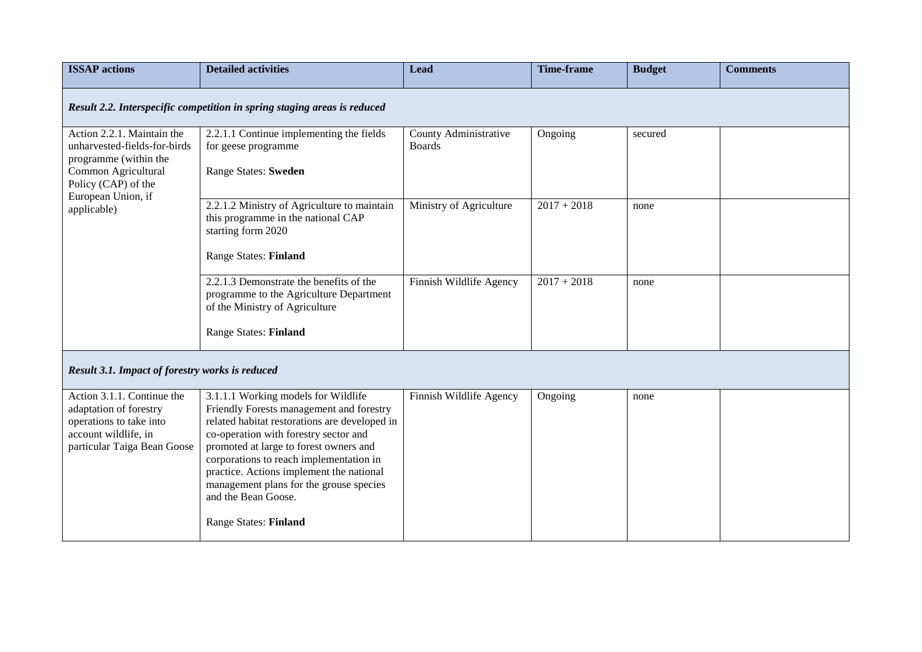| <b>ISSAP</b> actions                                                                                                                                                   | <b>Detailed activities</b>                                                                                                                                                                                                                                                                                                                                                                                   | <b>Lead</b>                            | <b>Time-frame</b> | <b>Budget</b> | <b>Comments</b> |  |  |  |
|------------------------------------------------------------------------------------------------------------------------------------------------------------------------|--------------------------------------------------------------------------------------------------------------------------------------------------------------------------------------------------------------------------------------------------------------------------------------------------------------------------------------------------------------------------------------------------------------|----------------------------------------|-------------------|---------------|-----------------|--|--|--|
| Result 2.2. Interspecific competition in spring staging areas is reduced                                                                                               |                                                                                                                                                                                                                                                                                                                                                                                                              |                                        |                   |               |                 |  |  |  |
| Action 2.2.1. Maintain the<br>unharvested-fields-for-birds<br>programme (within the<br>Common Agricultural<br>Policy (CAP) of the<br>European Union, if<br>applicable) | 2.2.1.1 Continue implementing the fields<br>for geese programme<br><b>Range States: Sweden</b>                                                                                                                                                                                                                                                                                                               | County Administrative<br><b>Boards</b> | Ongoing           | secured       |                 |  |  |  |
|                                                                                                                                                                        | 2.2.1.2 Ministry of Agriculture to maintain<br>this programme in the national CAP<br>starting form 2020<br><b>Range States: Finland</b>                                                                                                                                                                                                                                                                      | Ministry of Agriculture                | $2017 + 2018$     | none          |                 |  |  |  |
|                                                                                                                                                                        | 2.2.1.3 Demonstrate the benefits of the<br>programme to the Agriculture Department<br>of the Ministry of Agriculture<br><b>Range States: Finland</b>                                                                                                                                                                                                                                                         | Finnish Wildlife Agency                | $2017 + 2018$     | none          |                 |  |  |  |
| Result 3.1. Impact of forestry works is reduced                                                                                                                        |                                                                                                                                                                                                                                                                                                                                                                                                              |                                        |                   |               |                 |  |  |  |
| Action 3.1.1. Continue the<br>adaptation of forestry<br>operations to take into<br>account wildlife, in<br>particular Taiga Bean Goose                                 | 3.1.1.1 Working models for Wildlife<br>Friendly Forests management and forestry<br>related habitat restorations are developed in<br>co-operation with forestry sector and<br>promoted at large to forest owners and<br>corporations to reach implementation in<br>practice. Actions implement the national<br>management plans for the grouse species<br>and the Bean Goose.<br><b>Range States: Finland</b> | Finnish Wildlife Agency                | Ongoing           | none          |                 |  |  |  |